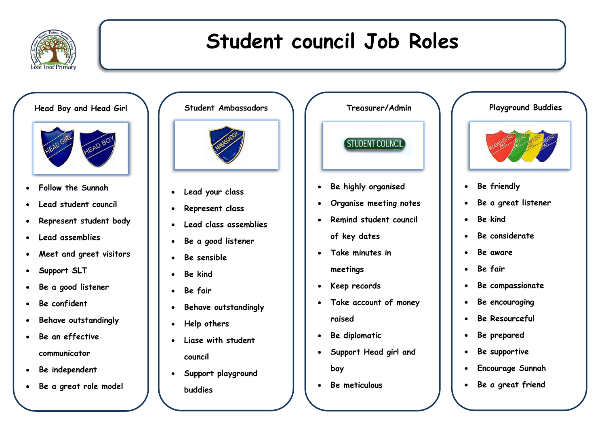

## **Student council Job Roles**

**Head Boy and Head Girl**



- **Follow the Sunnah**
- **Lead student council**
- **Represent student body**
- **Lead assemblies**
- **Meet and greet visitors**
- **Support SLT**
- **Be a good listener**
- **Be confident**
- **Behave outstandingly**
- **Be an effective communicator**
- **Be independent**
- **Be a great role model**



- **Lead your class**
- **Represent class**
- **Lead class assemblies**
- **Be a good listener**
- **Be sensible**
- **Be kind**
- **Be fair**
- **Behave outstandingly**
- **Help others**
- **Liase with student council**
- **Support playground buddies**

**Treasurer/Admin** STUDENT COUNCIL

- **Be highly organised**
- **Organise meeting notes**
- **Remind student council of key dates**
- **Take minutes in meetings**
- **•** Keep records
- **Take account of money raised**
- **Be diplomatic**
- **Support Head girl and boy**
- **Be meticulous**

## **Playground Buddies**



- **Be friendly**
- **Be a great listener**
- **Be kind**
- **Be considerate**
- **Be aware**
- **Be fair**
- **Be compassionate**
- **Be encouraging**
- **Be Resourceful**
- **Be prepared**
- **Be supportive**
- **Encourage Sunnah**
- **Be a great friend**